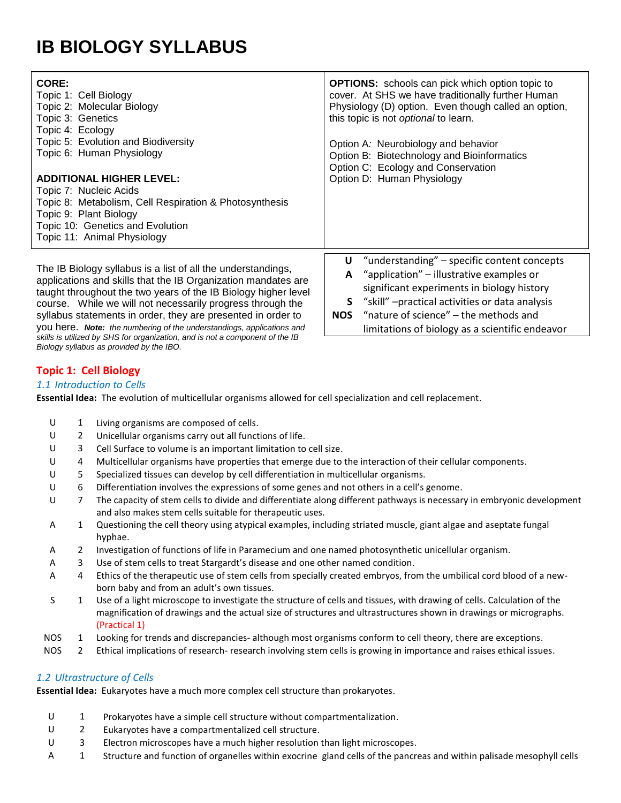# **IB BIOLOGY SYLLABUS**

| CORE:<br>Topic 1: Cell Biology<br>Topic 2: Molecular Biology<br>Topic 3: Genetics<br>Topic 4: Ecology<br>Topic 5: Evolution and Biodiversity<br>Topic 6: Human Physiology<br><b>ADDITIONAL HIGHER LEVEL:</b><br>Topic 7: Nucleic Acids<br>Topic 8: Metabolism, Cell Respiration & Photosynthesis<br>Topic 9: Plant Biology<br>Topic 10: Genetics and Evolution<br>Topic 11: Animal Physiology          | <b>OPTIONS:</b> schools can pick which option topic to<br>cover. At SHS we have traditionally further Human<br>Physiology (D) option. Even though called an option,<br>this topic is not optional to learn.<br>Option A: Neurobiology and behavior<br>Option B: Biotechnology and Bioinformatics<br>Option C: Ecology and Conservation<br>Option D: Human Physiology |
|--------------------------------------------------------------------------------------------------------------------------------------------------------------------------------------------------------------------------------------------------------------------------------------------------------------------------------------------------------------------------------------------------------|----------------------------------------------------------------------------------------------------------------------------------------------------------------------------------------------------------------------------------------------------------------------------------------------------------------------------------------------------------------------|
| The IB Biology syllabus is a list of all the understandings,<br>applications and skills that the IB Organization mandates are<br>taught throughout the two years of the IB Biology higher level<br>course. While we will not necessarily progress through the<br>syllabus statements in order, they are presented in order to<br>you here. Note: the numbering of the understandings, applications and | "understanding" - specific content concepts<br>U<br>"application" – illustrative examples or<br>A<br>significant experiments in biology history<br>"skill" - practical activities or data analysis<br>S<br>"nature of science" - the methods and<br><b>NOS</b><br>limitations of biology as a scientific endeavor                                                    |

**Topic 1: Cell Biology**

*Biology syllabus as provided by the IBO.*

#### *1.1 Introduction to Cells*

**Essential Idea:** The evolution of multicellular organisms allowed for cell specialization and cell replacement.

- U 1 Living organisms are composed of cells.
- U 2 Unicellular organisms carry out all functions of life.

*skills is utilized by SHS for organization, and is not a component of the IB* 

- U 3 Cell Surface to volume is an important limitation to cell size.
- U 4 Multicellular organisms have properties that emerge due to the interaction of their cellular components.
- U 5 Specialized tissues can develop by cell differentiation in multicellular organisms.
- U 6 Differentiation involves the expressions of some genes and not others in a cell's genome.
- U 7 The capacity of stem cells to divide and differentiate along different pathways is necessary in embryonic development and also makes stem cells suitable for therapeutic uses.
- A 1 Questioning the cell theory using atypical examples, including striated muscle, giant algae and aseptate fungal hyphae.
- A 2 Investigation of functions of life in Paramecium and one named photosynthetic unicellular organism.
- A 3 Use of stem cells to treat Stargardt's disease and one other named condition.
- A 4 Ethics of the therapeutic use of stem cells from specially created embryos, from the umbilical cord blood of a newborn baby and from an adult's own tissues.
- S 1 Use of a light microscope to investigate the structure of cells and tissues, with drawing of cells. Calculation of the magnification of drawings and the actual size of structures and ultrastructures shown in drawings or micrographs. (Practical 1)
- NOS 1 Looking for trends and discrepancies- although most organisms conform to cell theory, there are exceptions.
- NOS 2 Ethical implications of research- research involving stem cells is growing in importance and raises ethical issues.

## *1.2 Ultrastructure of Cells*

**Essential Idea:** Eukaryotes have a much more complex cell structure than prokaryotes.

- U 1 Prokaryotes have a simple cell structure without compartmentalization.
- U 2 Eukaryotes have a compartmentalized cell structure.
- U 3 Electron microscopes have a much higher resolution than light microscopes.
- A 1 Structure and function of organelles within exocrine gland cells of the pancreas and within palisade mesophyll cells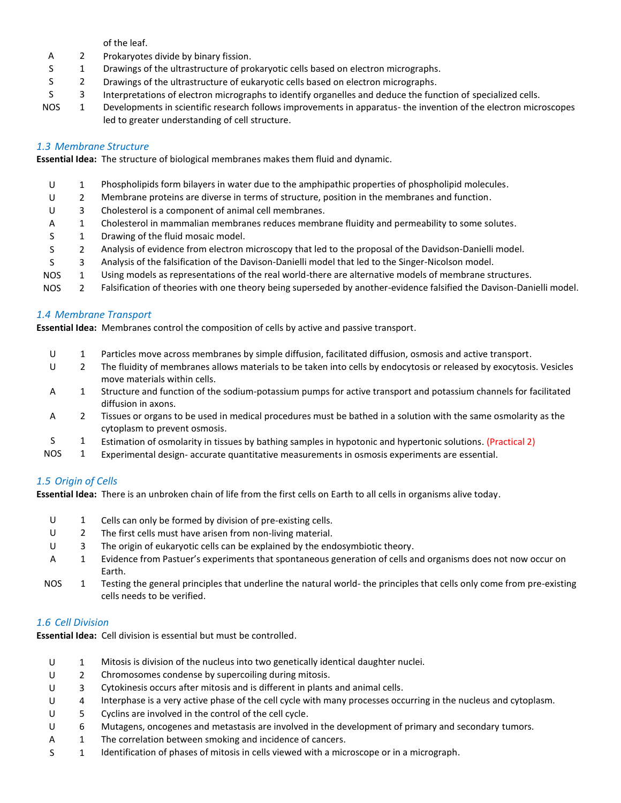of the leaf.

- A 2 Prokaryotes divide by binary fission.
- S 1 Drawings of the ultrastructure of prokaryotic cells based on electron micrographs.
- S 2 Drawings of the ultrastructure of eukaryotic cells based on electron micrographs.
- S 3 Interpretations of electron micrographs to identify organelles and deduce the function of specialized cells.
- NOS 1 Developments in scientific research follows improvements in apparatus- the invention of the electron microscopes led to greater understanding of cell structure.

## *1.3 Membrane Structure*

**Essential Idea:** The structure of biological membranes makes them fluid and dynamic.

- U 1 Phospholipids form bilayers in water due to the amphipathic properties of phospholipid molecules. U 2 Membrane proteins are diverse in terms of structure, position in the membranes and function. U 3 Cholesterol is a component of animal cell membranes. A 1 Cholesterol in mammalian membranes reduces membrane fluidity and permeability to some solutes. S 1 Drawing of the fluid mosaic model. S 2 Analysis of evidence from electron microscopy that led to the proposal of the Davidson-Danielli model. S 3 Analysis of the falsification of the Davison-Danielli model that led to the Singer-Nicolson model. NOS 1 Using models as representations of the real world-there are alternative models of membrane structures.
- NOS 2 Falsification of theories with one theory being superseded by another-evidence falsified the Davison-Danielli model.

## *1.4 Membrane Transport*

**Essential Idea:** Membranes control the composition of cells by active and passive transport.

- U 1 Particles move across membranes by simple diffusion, facilitated diffusion, osmosis and active transport. U 2 The fluidity of membranes allows materials to be taken into cells by endocytosis or released by exocytosis. Vesicles move materials within cells. A 1 Structure and function of the sodium-potassium pumps for active transport and potassium channels for facilitated diffusion in axons. A 2 Tissues or organs to be used in medical procedures must be bathed in a solution with the same osmolarity as the
- cytoplasm to prevent osmosis.
- S 1 Estimation of osmolarity in tissues by bathing samples in hypotonic and hypertonic solutions. (Practical 2)
- NOS 1 Experimental design- accurate quantitative measurements in osmosis experiments are essential.

## *1.5 Origin of Cells*

**Essential Idea:** There is an unbroken chain of life from the first cells on Earth to all cells in organisms alive today.

- U 1 Cells can only be formed by division of pre-existing cells.
- U 2 The first cells must have arisen from non-living material.
- U 3 The origin of eukaryotic cells can be explained by the endosymbiotic theory.
- A 1 Evidence from Pastuer's experiments that spontaneous generation of cells and organisms does not now occur on Earth.
- NOS 1 Testing the general principles that underline the natural world- the principles that cells only come from pre-existing cells needs to be verified.

## *1.6 Cell Division*

**Essential Idea:** Cell division is essential but must be controlled.

- U 1 Mitosis is division of the nucleus into two genetically identical daughter nuclei.
- U 2 Chromosomes condense by supercoiling during mitosis.
- U 3 Cytokinesis occurs after mitosis and is different in plants and animal cells.
- U 4 Interphase is a very active phase of the cell cycle with many processes occurring in the nucleus and cytoplasm.
- U 5 Cyclins are involved in the control of the cell cycle.
- U 6 Mutagens, oncogenes and metastasis are involved in the development of primary and secondary tumors.
- A 1 The correlation between smoking and incidence of cancers.
- S 1 Identification of phases of mitosis in cells viewed with a microscope or in a micrograph.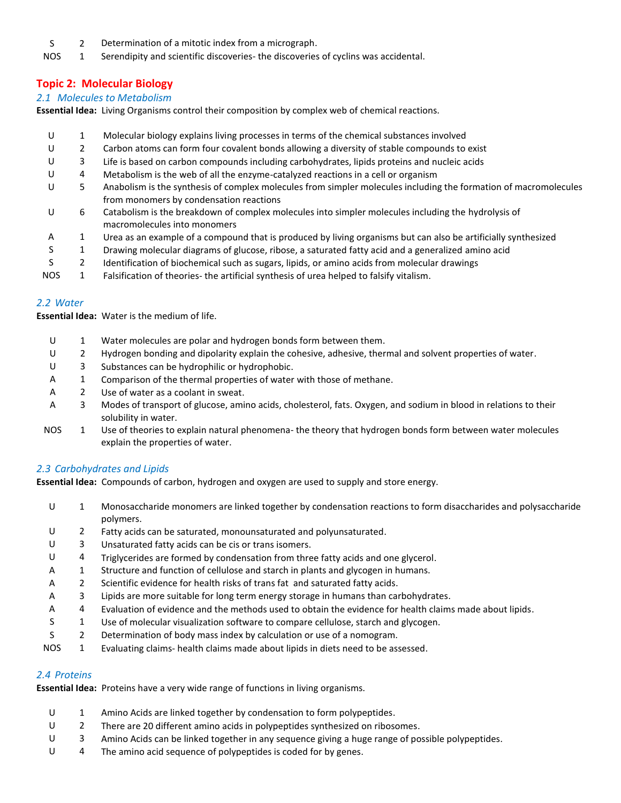- S 2 Determination of a mitotic index from a micrograph.
- NOS 1 Serendipity and scientific discoveries- the discoveries of cyclins was accidental.

# **Topic 2: Molecular Biology**

## *2.1 Molecules to Metabolism*

**Essential Idea:** Living Organisms control their composition by complex web of chemical reactions.

- U 1 Molecular biology explains living processes in terms of the chemical substances involved
- U 2 Carbon atoms can form four covalent bonds allowing a diversity of stable compounds to exist
- U 3 Life is based on carbon compounds including carbohydrates, lipids proteins and nucleic acids
- U 4 Metabolism is the web of all the enzyme-catalyzed reactions in a cell or organism
- U 5 Anabolism is the synthesis of complex molecules from simpler molecules including the formation of macromolecules from monomers by condensation reactions
- U 6 Catabolism is the breakdown of complex molecules into simpler molecules including the hydrolysis of macromolecules into monomers
- A 1 Urea as an example of a compound that is produced by living organisms but can also be artificially synthesized
- S 1 Drawing molecular diagrams of glucose, ribose, a saturated fatty acid and a generalized amino acid
- S 2 Identification of biochemical such as sugars, lipids, or amino acids from molecular drawings
- NOS 1 Falsification of theories- the artificial synthesis of urea helped to falsify vitalism.

#### *2.2 Water*

**Essential Idea:** Water is the medium of life.

- U 1 Water molecules are polar and hydrogen bonds form between them.
- U 2 Hydrogen bonding and dipolarity explain the cohesive, adhesive, thermal and solvent properties of water.
- U 3 Substances can be hydrophilic or hydrophobic.
- A 1 Comparison of the thermal properties of water with those of methane.
- A 2 Use of water as a coolant in sweat.
- A 3 Modes of transport of glucose, amino acids, cholesterol, fats. Oxygen, and sodium in blood in relations to their solubility in water.
- NOS 1 Use of theories to explain natural phenomena- the theory that hydrogen bonds form between water molecules explain the properties of water.

## *2.3 Carbohydrates and Lipids*

**Essential Idea:** Compounds of carbon, hydrogen and oxygen are used to supply and store energy.

- U 1 Monosaccharide monomers are linked together by condensation reactions to form disaccharides and polysaccharide polymers.
- U 2 Fatty acids can be saturated, monounsaturated and polyunsaturated.
- U 3 Unsaturated fatty acids can be cis or trans isomers.
- U 4 Triglycerides are formed by condensation from three fatty acids and one glycerol.
- A 1 Structure and function of cellulose and starch in plants and glycogen in humans.
- A 2 Scientific evidence for health risks of trans fat and saturated fatty acids.
- A 3 Lipids are more suitable for long term energy storage in humans than carbohydrates.
- A 4 Evaluation of evidence and the methods used to obtain the evidence for health claims made about lipids.
- S 1 Use of molecular visualization software to compare cellulose, starch and glycogen.
- S 2 Determination of body mass index by calculation or use of a nomogram.
- NOS 1 Evaluating claims- health claims made about lipids in diets need to be assessed.

## *2.4 Proteins*

**Essential Idea:** Proteins have a very wide range of functions in living organisms.

- U 1 Amino Acids are linked together by condensation to form polypeptides.
- U 2 There are 20 different amino acids in polypeptides synthesized on ribosomes.
- U 3 Amino Acids can be linked together in any sequence giving a huge range of possible polypeptides.
- U 4 The amino acid sequence of polypeptides is coded for by genes.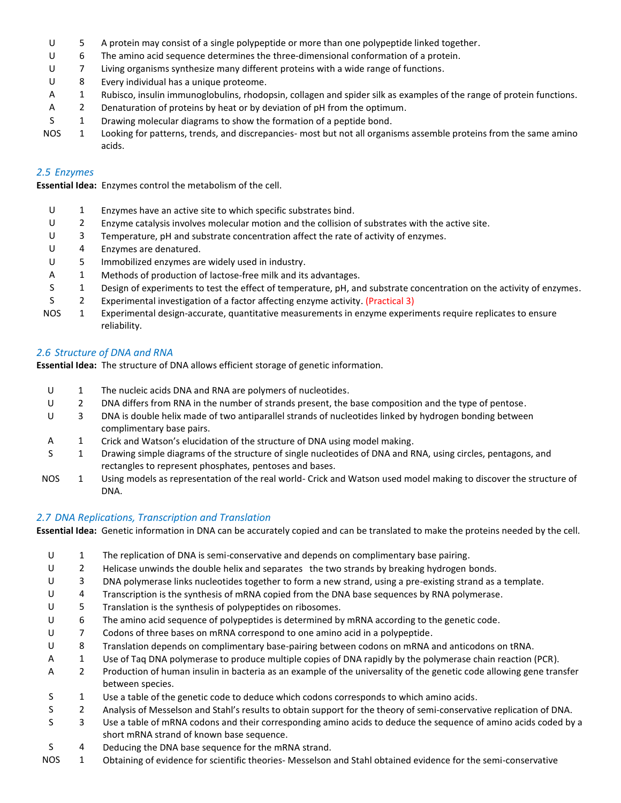- U 5 A protein may consist of a single polypeptide or more than one polypeptide linked together.
- U 6 The amino acid sequence determines the three-dimensional conformation of a protein.
- U 7 Living organisms synthesize many different proteins with a wide range of functions.
- U 8 Every individual has a unique proteome.
- A 1 Rubisco, insulin immunoglobulins, rhodopsin, collagen and spider silk as examples of the range of protein functions.
- A 2 Denaturation of proteins by heat or by deviation of pH from the optimum.
- S 1 Drawing molecular diagrams to show the formation of a peptide bond.
- NOS 1 Looking for patterns, trends, and discrepancies- most but not all organisms assemble proteins from the same amino acids.

## *2.5 Enzymes*

**Essential Idea:** Enzymes control the metabolism of the cell.

| U          |    | Enzymes have an active site to which specific substrates bind.                                                             |
|------------|----|----------------------------------------------------------------------------------------------------------------------------|
|            |    | Enzyme catalysis involves molecular motion and the collision of substrates with the active site.                           |
| U          | 3  | Temperature, pH and substrate concentration affect the rate of activity of enzymes.                                        |
|            | 4  | Enzymes are denatured.                                                                                                     |
| U          | 5. | Immobilized enzymes are widely used in industry.                                                                           |
| A          |    | Methods of production of lactose-free milk and its advantages.                                                             |
|            |    | Design of experiments to test the effect of temperature, pH, and substrate concentration on the activity of enzymes.       |
|            |    | Experimental investigation of a factor affecting enzyme activity. (Practical 3)                                            |
| <b>NOS</b> |    | Experimental design-accurate, quantitative measurements in enzyme experiments require replicates to ensure<br>reliability. |

## *2.6 Structure of DNA and RNA*

**Essential Idea:** The structure of DNA allows efficient storage of genetic information.

- U 1 The nucleic acids DNA and RNA are polymers of nucleotides. U 2 DNA differs from RNA in the number of strands present, the base composition and the type of pentose. U 3 DNA is double helix made of two antiparallel strands of nucleotides linked by hydrogen bonding between complimentary base pairs. A 1 Crick and Watson's elucidation of the structure of DNA using model making. S 1 Drawing simple diagrams of the structure of single nucleotides of DNA and RNA, using circles, pentagons, and
- rectangles to represent phosphates, pentoses and bases. NOS 1 Using models as representation of the real world- Crick and Watson used model making to discover the structure of DNA.

## *2.7 DNA Replications, Transcription and Translation*

**Essential Idea:** Genetic information in DNA can be accurately copied and can be translated to make the proteins needed by the cell.

- U 1 The replication of DNA is semi-conservative and depends on complimentary base pairing. U 2 Helicase unwinds the double helix and separates the two strands by breaking hydrogen bonds. U 3 DNA polymerase links nucleotides together to form a new strand, using a pre-existing strand as a template. U 4 Transcription is the synthesis of mRNA copied from the DNA base sequences by RNA polymerase. U 5 Translation is the synthesis of polypeptides on ribosomes. U 6 The amino acid sequence of polypeptides is determined by mRNA according to the genetic code. U 7 Codons of three bases on mRNA correspond to one amino acid in a polypeptide. U 8 Translation depends on complimentary base-pairing between codons on mRNA and anticodons on tRNA. A 1 Use of Tag DNA polymerase to produce multiple copies of DNA rapidly by the polymerase chain reaction (PCR). A 2 Production of human insulin in bacteria as an example of the universality of the genetic code allowing gene transfer between species.
	- S 1 Use a table of the genetic code to deduce which codons corresponds to which amino acids.
	- S 2 Analysis of Messelson and Stahl's results to obtain support for the theory of semi-conservative replication of DNA.
- S 3 Use a table of mRNA codons and their corresponding amino acids to deduce the sequence of amino acids coded by a short mRNA strand of known base sequence.
- S 4 Deducing the DNA base sequence for the mRNA strand.
- NOS 1 Obtaining of evidence for scientific theories- Messelson and Stahl obtained evidence for the semi-conservative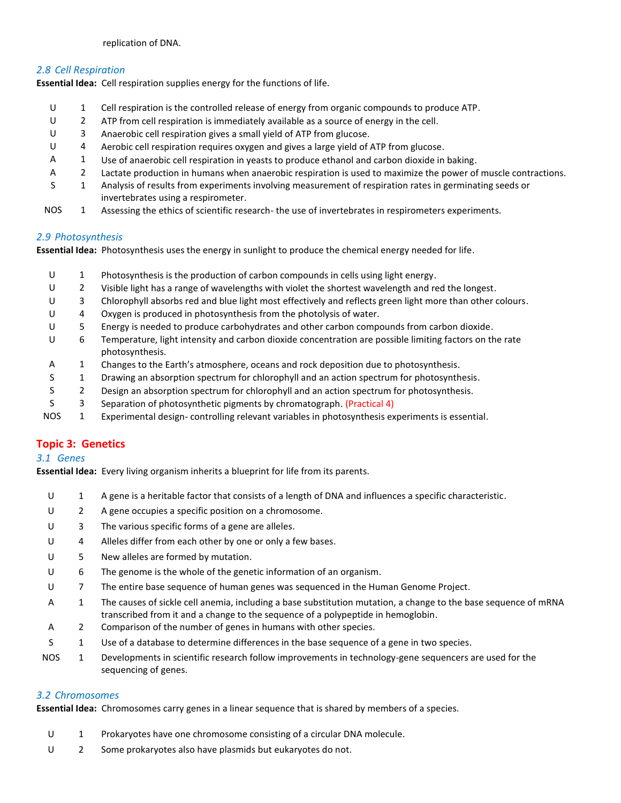#### replication of DNA.

## *2.8 Cell Respiration*

**Essential Idea:** Cell respiration supplies energy for the functions of life.

- U 1 Cell respiration is the controlled release of energy from organic compounds to produce ATP.
- U 2 ATP from cell respiration is immediately available as a source of energy in the cell.
- U 3 Anaerobic cell respiration gives a small yield of ATP from glucose.
- U 4 Aerobic cell respiration requires oxygen and gives a large yield of ATP from glucose.
- A 1 Use of anaerobic cell respiration in yeasts to produce ethanol and carbon dioxide in baking.
- A 2 Lactate production in humans when anaerobic respiration is used to maximize the power of muscle contractions.
- S 1 Analysis of results from experiments involving measurement of respiration rates in germinating seeds or invertebrates using a respirometer.
- NOS 1 Assessing the ethics of scientific research- the use of invertebrates in respirometers experiments.

#### *2.9 Photosynthesis*

**Essential Idea:** Photosynthesis uses the energy in sunlight to produce the chemical energy needed for life.

U 1 Photosynthesis is the production of carbon compounds in cells using light energy. U 2 Visible light has a range of wavelengths with violet the shortest wavelength and red the longest. U 3 Chlorophyll absorbs red and blue light most effectively and reflects green light more than other colours. U 4 Oxygen is produced in photosynthesis from the photolysis of water. U 5 Energy is needed to produce carbohydrates and other carbon compounds from carbon dioxide. U 6 Temperature, light intensity and carbon dioxide concentration are possible limiting factors on the rate photosynthesis. A 1 Changes to the Earth's atmosphere, oceans and rock deposition due to photosynthesis. S 1 Drawing an absorption spectrum for chlorophyll and an action spectrum for photosynthesis. S 2 Design an absorption spectrum for chlorophyll and an action spectrum for photosynthesis. S 3 Separation of photosynthetic pigments by chromatograph. (Practical 4) NOS 1 Experimental design- controlling relevant variables in photosynthesis experiments is essential.

## **Topic 3: Genetics**

## *3.1 Genes*

**Essential Idea:** Every living organism inherits a blueprint for life from its parents.

- U 1 A gene is a heritable factor that consists of a length of DNA and influences a specific characteristic.
- U 2 A gene occupies a specific position on a chromosome.
- U 3 The various specific forms of a gene are alleles.
- U 4 Alleles differ from each other by one or only a few bases.
- U 5 New alleles are formed by mutation.
- U 6 The genome is the whole of the genetic information of an organism.
- U 7 The entire base sequence of human genes was sequenced in the Human Genome Project.
- A 1 The causes of sickle cell anemia, including a base substitution mutation, a change to the base sequence of mRNA transcribed from it and a change to the sequence of a polypeptide in hemoglobin.
- A 2 Comparison of the number of genes in humans with other species.
- S 1 Use of a database to determine differences in the base sequence of a gene in two species.
- NOS 1 Developments in scientific research follow improvements in technology-gene sequencers are used for the sequencing of genes.

## *3.2 Chromosomes*

**Essential Idea:** Chromosomes carry genes in a linear sequence that is shared by members of a species.

- U 1 Prokaryotes have one chromosome consisting of a circular DNA molecule.
- U 2 Some prokaryotes also have plasmids but eukaryotes do not.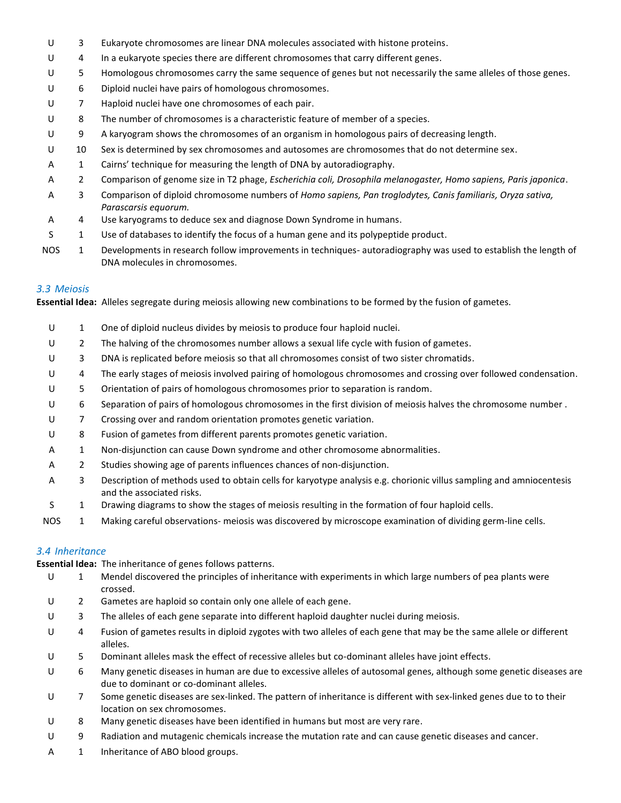- U 3 Eukaryote chromosomes are linear DNA molecules associated with histone proteins.
- U 4 In a eukaryote species there are different chromosomes that carry different genes.
- U 5 Homologous chromosomes carry the same sequence of genes but not necessarily the same alleles of those genes.
- U 6 Diploid nuclei have pairs of homologous chromosomes.
- U 7 Haploid nuclei have one chromosomes of each pair.
- U 8 The number of chromosomes is a characteristic feature of member of a species.
- U 9 A karyogram shows the chromosomes of an organism in homologous pairs of decreasing length.
- U 10 Sex is determined by sex chromosomes and autosomes are chromosomes that do not determine sex.
- A 1 Cairns' technique for measuring the length of DNA by autoradiography.
- A 2 Comparison of genome size in T2 phage, *Escherichia coli, Drosophila melanogaster, Homo sapiens, Paris japonica*.
- A 3 Comparison of diploid chromosome numbers of *Homo sapiens, Pan troglodytes, Canis familiaris, Oryza sativa, Parascarsis equorum.*
- A 4 Use karyograms to deduce sex and diagnose Down Syndrome in humans.
- S 1 Use of databases to identify the focus of a human gene and its polypeptide product.
- NOS 1 Developments in research follow improvements in techniques- autoradiography was used to establish the length of DNA molecules in chromosomes.

## *3.3 Meiosis*

**Essential Idea:** Alleles segregate during meiosis allowing new combinations to be formed by the fusion of gametes.

- U 1 One of diploid nucleus divides by meiosis to produce four haploid nuclei. U 2 The halving of the chromosomes number allows a sexual life cycle with fusion of gametes. U 3 DNA is replicated before meiosis so that all chromosomes consist of two sister chromatids. U 4 The early stages of meiosis involved pairing of homologous chromosomes and crossing over followed condensation. U 5 Orientation of pairs of homologous chromosomes prior to separation is random. U 6 Separation of pairs of homologous chromosomes in the first division of meiosis halves the chromosome number. U 7 Crossing over and random orientation promotes genetic variation. U 8 Fusion of gametes from different parents promotes genetic variation. A 1 Non-disjunction can cause Down syndrome and other chromosome abnormalities. A 2 Studies showing age of parents influences chances of non-disjunction. A 3 Description of methods used to obtain cells for karyotype analysis e.g. chorionic villus sampling and amniocentesis and the associated risks. S 1 Drawing diagrams to show the stages of meiosis resulting in the formation of four haploid cells.
- NOS 1 Making careful observations- meiosis was discovered by microscope examination of dividing germ-line cells.

## *3.4 Inheritance*

**Essential Idea:** The inheritance of genes follows patterns.

- U 1 Mendel discovered the principles of inheritance with experiments in which large numbers of pea plants were crossed.
- U 2 Gametes are haploid so contain only one allele of each gene.
- U 3 The alleles of each gene separate into different haploid daughter nuclei during meiosis.
- U 4 Fusion of gametes results in diploid zygotes with two alleles of each gene that may be the same allele or different alleles.
- U 5 Dominant alleles mask the effect of recessive alleles but co-dominant alleles have joint effects.
- U 6 Many genetic diseases in human are due to excessive alleles of autosomal genes, although some genetic diseases are due to dominant or co-dominant alleles.
- U 7 Some genetic diseases are sex-linked. The pattern of inheritance is different with sex-linked genes due to to their location on sex chromosomes.
- U 8 Many genetic diseases have been identified in humans but most are very rare.
- U 9 Radiation and mutagenic chemicals increase the mutation rate and can cause genetic diseases and cancer.
- A 1 Inheritance of ABO blood groups.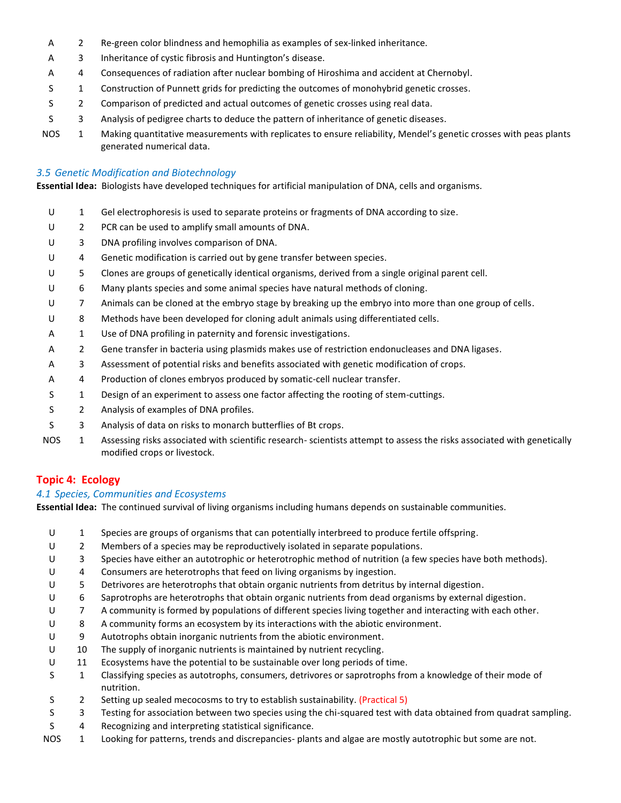- A 2 Re-green color blindness and hemophilia as examples of sex-linked inheritance.
- A 3 Inheritance of cystic fibrosis and Huntington's disease.
- A 4 Consequences of radiation after nuclear bombing of Hiroshima and accident at Chernobyl.
- S 1 Construction of Punnett grids for predicting the outcomes of monohybrid genetic crosses.
- S 2 Comparison of predicted and actual outcomes of genetic crosses using real data.
- S 3 Analysis of pedigree charts to deduce the pattern of inheritance of genetic diseases.
- NOS 1 Making quantitative measurements with replicates to ensure reliability, Mendel's genetic crosses with peas plants generated numerical data.

## *3.5 Genetic Modification and Biotechnology*

**Essential Idea:** Biologists have developed techniques for artificial manipulation of DNA, cells and organisms.

- U 1 Gel electrophoresis is used to separate proteins or fragments of DNA according to size.
- U 2 PCR can be used to amplify small amounts of DNA.
- U 3 DNA profiling involves comparison of DNA.
- U 4 Genetic modification is carried out by gene transfer between species.
- U 5 Clones are groups of genetically identical organisms, derived from a single original parent cell.
- U 6 Many plants species and some animal species have natural methods of cloning.
- U 7 Animals can be cloned at the embryo stage by breaking up the embryo into more than one group of cells.
- U 8 Methods have been developed for cloning adult animals using differentiated cells.
- A 1 Use of DNA profiling in paternity and forensic investigations.
- A 2 Gene transfer in bacteria using plasmids makes use of restriction endonucleases and DNA ligases.
- A 3 Assessment of potential risks and benefits associated with genetic modification of crops.
- A 4 Production of clones embryos produced by somatic-cell nuclear transfer.
- S 1 Design of an experiment to assess one factor affecting the rooting of stem-cuttings.
- S 2 Analysis of examples of DNA profiles.
- S 3 Analysis of data on risks to monarch butterflies of Bt crops.
- NOS 1 Assessing risks associated with scientific research- scientists attempt to assess the risks associated with genetically modified crops or livestock.

# **Topic 4: Ecology**

## *4.1 Species, Communities and Ecosystems*

**Essential Idea:** The continued survival of living organisms including humans depends on sustainable communities.

- U 1 Species are groups of organisms that can potentially interbreed to produce fertile offspring.
- U 2 Members of a species may be reproductively isolated in separate populations.
- U 3 Species have either an autotrophic or heterotrophic method of nutrition (a few species have both methods).
- U 4 Consumers are heterotrophs that feed on living organisms by ingestion.
- U 5 Detrivores are heterotrophs that obtain organic nutrients from detritus by internal digestion.
- U 6 Saprotrophs are heterotrophs that obtain organic nutrients from dead organisms by external digestion.
- U 7 A community is formed by populations of different species living together and interacting with each other.
- U 8 A community forms an ecosystem by its interactions with the abiotic environment.
- U 9 Autotrophs obtain inorganic nutrients from the abiotic environment.
- U 10 The supply of inorganic nutrients is maintained by nutrient recycling.
- U 11 Ecosystems have the potential to be sustainable over long periods of time.
- S 1 Classifying species as autotrophs, consumers, detrivores or saprotrophs from a knowledge of their mode of nutrition.
- S 2 Setting up sealed mecocosms to try to establish sustainability. (Practical 5)
- S 3 Testing for association between two species using the chi-squared test with data obtained from quadrat sampling.
- S 4 Recognizing and interpreting statistical significance.
- NOS 1 Looking for patterns, trends and discrepancies- plants and algae are mostly autotrophic but some are not.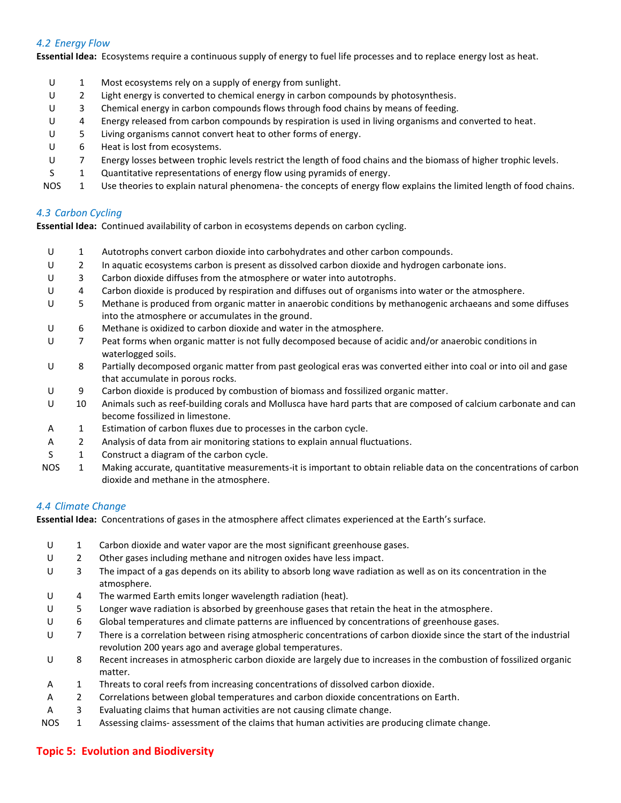## *4.2 Energy Flow*

**Essential Idea:** Ecosystems require a continuous supply of energy to fuel life processes and to replace energy lost as heat.

U 1 Most ecosystems rely on a supply of energy from sunlight. U 2 Light energy is converted to chemical energy in carbon compounds by photosynthesis. U 3 Chemical energy in carbon compounds flows through food chains by means of feeding. U 4 Energy released from carbon compounds by respiration is used in living organisms and converted to heat. U 5 Living organisms cannot convert heat to other forms of energy. U 6 Heat is lost from ecosystems. U 7 Energy losses between trophic levels restrict the length of food chains and the biomass of higher trophic levels. S 1 Quantitative representations of energy flow using pyramids of energy. NOS 1 Use theories to explain natural phenomena- the concepts of energy flow explains the limited length of food chains. *4.3 Carbon Cycling*

**Essential Idea:** Continued availability of carbon in ecosystems depends on carbon cycling.

- U 1 Autotrophs convert carbon dioxide into carbohydrates and other carbon compounds.
- U 2 In aquatic ecosystems carbon is present as dissolved carbon dioxide and hydrogen carbonate ions.
- U 3 Carbon dioxide diffuses from the atmosphere or water into autotrophs.
- U 4 Carbon dioxide is produced by respiration and diffuses out of organisms into water or the atmosphere.
- U 5 Methane is produced from organic matter in anaerobic conditions by methanogenic archaeans and some diffuses into the atmosphere or accumulates in the ground.
- U 6 Methane is oxidized to carbon dioxide and water in the atmosphere.
- U 7 Peat forms when organic matter is not fully decomposed because of acidic and/or anaerobic conditions in waterlogged soils.
- U 8 Partially decomposed organic matter from past geological eras was converted either into coal or into oil and gase that accumulate in porous rocks.
- U 9 Carbon dioxide is produced by combustion of biomass and fossilized organic matter.
- U 10 Animals such as reef-building corals and Mollusca have hard parts that are composed of calcium carbonate and can become fossilized in limestone.
- A 1 Estimation of carbon fluxes due to processes in the carbon cycle.
- A 2 Analysis of data from air monitoring stations to explain annual fluctuations.
- S 1 Construct a diagram of the carbon cycle.
- NOS 1 Making accurate, quantitative measurements-it is important to obtain reliable data on the concentrations of carbon dioxide and methane in the atmosphere.

## *4.4 Climate Change*

**Essential Idea:** Concentrations of gases in the atmosphere affect climates experienced at the Earth's surface.

- U 1 Carbon dioxide and water vapor are the most significant greenhouse gases. U 2 Other gases including methane and nitrogen oxides have less impact. U 3 The impact of a gas depends on its ability to absorb long wave radiation as well as on its concentration in the atmosphere. U 4 The warmed Earth emits longer wavelength radiation (heat). U 5 Longer wave radiation is absorbed by greenhouse gases that retain the heat in the atmosphere. U 6 Global temperatures and climate patterns are influenced by concentrations of greenhouse gases. U 7 There is a correlation between rising atmospheric concentrations of carbon dioxide since the start of the industrial revolution 200 years ago and average global temperatures. U 8 Recent increases in atmospheric carbon dioxide are largely due to increases in the combustion of fossilized organic matter. A 1 Threats to coral reefs from increasing concentrations of dissolved carbon dioxide. A 2 Correlations between global temperatures and carbon dioxide concentrations on Earth. A 3 Evaluating claims that human activities are not causing climate change.
- NOS 1 Assessing claims- assessment of the claims that human activities are producing climate change.

## **Topic 5: Evolution and Biodiversity**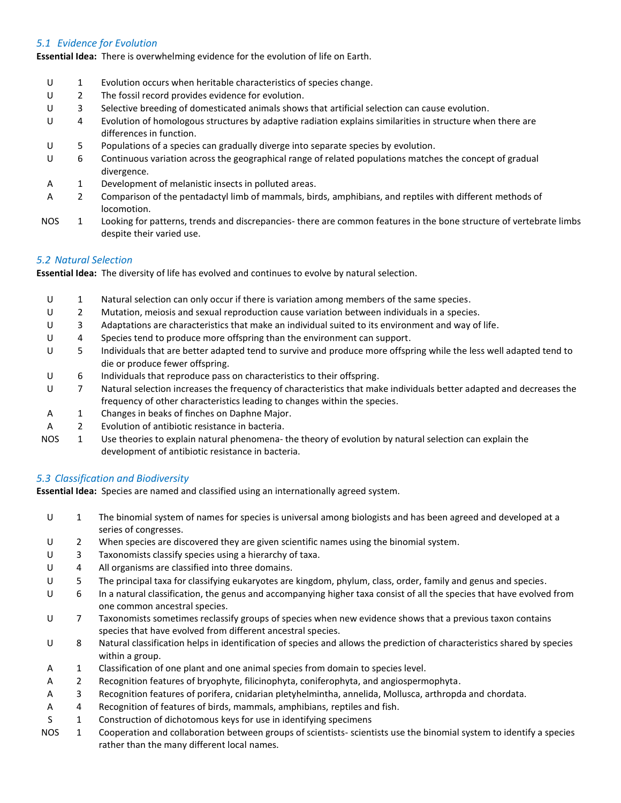## *5.1 Evidence for Evolution*

**Essential Idea:** There is overwhelming evidence for the evolution of life on Earth.

- U 1 Evolution occurs when heritable characteristics of species change.
- U 2 The fossil record provides evidence for evolution.
- U 3 Selective breeding of domesticated animals shows that artificial selection can cause evolution.
- U 4 Evolution of homologous structures by adaptive radiation explains similarities in structure when there are differences in function.
- U 5 Populations of a species can gradually diverge into separate species by evolution.
- U 6 Continuous variation across the geographical range of related populations matches the concept of gradual divergence.
- A 1 Development of melanistic insects in polluted areas.
- A 2 Comparison of the pentadactyl limb of mammals, birds, amphibians, and reptiles with different methods of locomotion.
- NOS 1 Looking for patterns, trends and discrepancies- there are common features in the bone structure of vertebrate limbs despite their varied use.

## *5.2 Natural Selection*

**Essential Idea:** The diversity of life has evolved and continues to evolve by natural selection.

U 1 Natural selection can only occur if there is variation among members of the same species. U 2 Mutation, meiosis and sexual reproduction cause variation between individuals in a species. U 3 Adaptations are characteristics that make an individual suited to its environment and way of life. U 4 Species tend to produce more offspring than the environment can support. U 5 Individuals that are better adapted tend to survive and produce more offspring while the less well adapted tend to die or produce fewer offspring. U 6 Individuals that reproduce pass on characteristics to their offspring. U 7 Natural selection increases the frequency of characteristics that make individuals better adapted and decreases the frequency of other characteristics leading to changes within the species. A 1 Changes in beaks of finches on Daphne Major. A 2 Evolution of antibiotic resistance in bacteria. NOS 1 Use theories to explain natural phenomena- the theory of evolution by natural selection can explain the development of antibiotic resistance in bacteria.

## *5.3 Classification and Biodiversity*

**Essential Idea:** Species are named and classified using an internationally agreed system.

- U 1 The binomial system of names for species is universal among biologists and has been agreed and developed at a series of congresses.
- U 2 When species are discovered they are given scientific names using the binomial system.
- U 3 Taxonomists classify species using a hierarchy of taxa.
- U 4 All organisms are classified into three domains.
- U 5 The principal taxa for classifying eukaryotes are kingdom, phylum, class, order, family and genus and species.
- U 6 In a natural classification, the genus and accompanying higher taxa consist of all the species that have evolved from one common ancestral species.
- U 7 Taxonomists sometimes reclassify groups of species when new evidence shows that a previous taxon contains species that have evolved from different ancestral species.
- U 8 Natural classification helps in identification of species and allows the prediction of characteristics shared by species within a group.
- A 1 Classification of one plant and one animal species from domain to species level.
- A 2 Recognition features of bryophyte, filicinophyta, coniferophyta, and angiospermophyta.
- A 3 Recognition features of porifera, cnidarian pletyhelmintha, annelida, Mollusca, arthropda and chordata.
- A 4 Recognition of features of birds, mammals, amphibians, reptiles and fish.
- S 1 Construction of dichotomous keys for use in identifying specimens
- NOS 1 Cooperation and collaboration between groups of scientists- scientists use the binomial system to identify a species rather than the many different local names.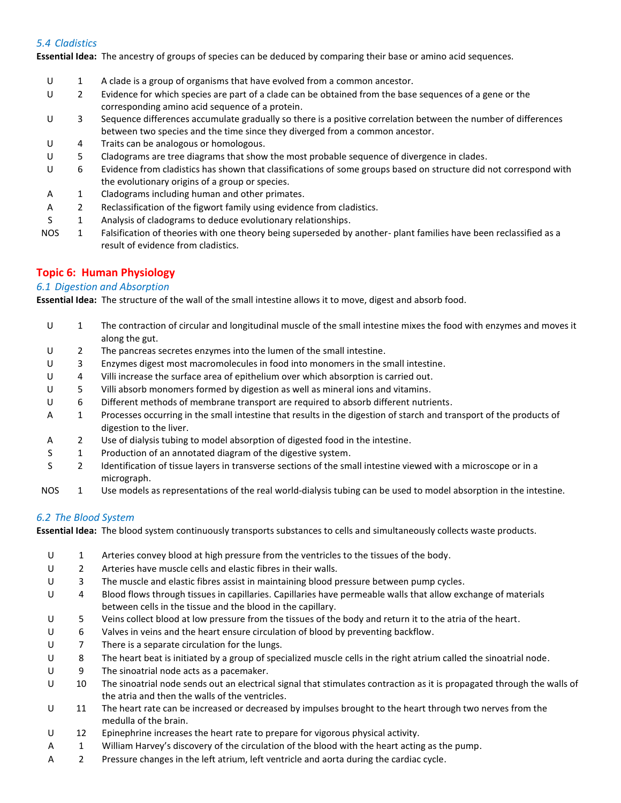## *5.4 Cladistics*

**Essential Idea:** The ancestry of groups of species can be deduced by comparing their base or amino acid sequences.

- U 1 A clade is a group of organisms that have evolved from a common ancestor.
- U 2 Evidence for which species are part of a clade can be obtained from the base sequences of a gene or the corresponding amino acid sequence of a protein.
- U 3 Sequence differences accumulate gradually so there is a positive correlation between the number of differences between two species and the time since they diverged from a common ancestor.
- U 4 Traits can be analogous or homologous.
- U 5 Cladograms are tree diagrams that show the most probable sequence of divergence in clades.
- U 6 Evidence from cladistics has shown that classifications of some groups based on structure did not correspond with the evolutionary origins of a group or species.
- A 1 Cladograms including human and other primates.
- A 2 Reclassification of the figwort family using evidence from cladistics.
- S 1 Analysis of cladograms to deduce evolutionary relationships.
- NOS 1 Falsification of theories with one theory being superseded by another- plant families have been reclassified as a result of evidence from cladistics.

## **Topic 6: Human Physiology**

## *6.1 Digestion and Absorption*

**Essential Idea:** The structure of the wall of the small intestine allows it to move, digest and absorb food.

- U 1 The contraction of circular and longitudinal muscle of the small intestine mixes the food with enzymes and moves it along the gut. U 2 The pancreas secretes enzymes into the lumen of the small intestine. U 3 Enzymes digest most macromolecules in food into monomers in the small intestine. U 4 Villi increase the surface area of epithelium over which absorption is carried out. U 5 Villi absorb monomers formed by digestion as well as mineral ions and vitamins. U 6 Different methods of membrane transport are required to absorb different nutrients. A 1 Processes occurring in the small intestine that results in the digestion of starch and transport of the products of digestion to the liver. A 2 Use of dialysis tubing to model absorption of digested food in the intestine. S 1 Production of an annotated diagram of the digestive system. S 2 Identification of tissue layers in transverse sections of the small intestine viewed with a microscope or in a micrograph.
- NOS 1 Use models as representations of the real world-dialysis tubing can be used to model absorption in the intestine.

## *6.2 The Blood System*

**Essential Idea:** The blood system continuously transports substances to cells and simultaneously collects waste products.

- U 1 Arteries convey blood at high pressure from the ventricles to the tissues of the body.
- U 2 Arteries have muscle cells and elastic fibres in their walls.
- U 3 The muscle and elastic fibres assist in maintaining blood pressure between pump cycles.
- U 4 Blood flows through tissues in capillaries. Capillaries have permeable walls that allow exchange of materials between cells in the tissue and the blood in the capillary.
- U 5 Veins collect blood at low pressure from the tissues of the body and return it to the atria of the heart.
- U 6 Valves in veins and the heart ensure circulation of blood by preventing backflow.
- U 7 There is a separate circulation for the lungs.
- U 8 The heart beat is initiated by a group of specialized muscle cells in the right atrium called the sinoatrial node.
- U 9 The sinoatrial node acts as a pacemaker.
- U 10 The sinoatrial node sends out an electrical signal that stimulates contraction as it is propagated through the walls of the atria and then the walls of the ventricles.
- U 11 The heart rate can be increased or decreased by impulses brought to the heart through two nerves from the medulla of the brain.
- U 12 Epinephrine increases the heart rate to prepare for vigorous physical activity.
- A 1 William Harvey's discovery of the circulation of the blood with the heart acting as the pump.
- A 2 Pressure changes in the left atrium, left ventricle and aorta during the cardiac cycle.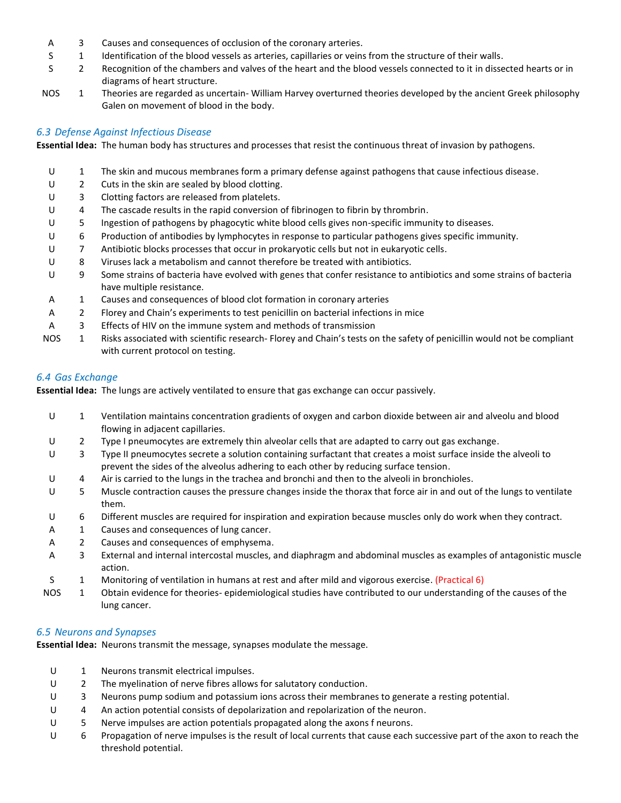- A 3 Causes and consequences of occlusion of the coronary arteries.
- S 1 Identification of the blood vessels as arteries, capillaries or veins from the structure of their walls.
- S 2 Recognition of the chambers and valves of the heart and the blood vessels connected to it in dissected hearts or in diagrams of heart structure.
- NOS 1 Theories are regarded as uncertain- William Harvey overturned theories developed by the ancient Greek philosophy Galen on movement of blood in the body.

## *6.3 Defense Against Infectious Disease*

**Essential Idea:** The human body has structures and processes that resist the continuous threat of invasion by pathogens.

U 1 The skin and mucous membranes form a primary defense against pathogens that cause infectious disease. U 2 Cuts in the skin are sealed by blood clotting. U 3 Clotting factors are released from platelets. U 4 The cascade results in the rapid conversion of fibrinogen to fibrin by thrombrin. U 5 Ingestion of pathogens by phagocytic white blood cells gives non-specific immunity to diseases. U 6 Production of antibodies by lymphocytes in response to particular pathogens gives specific immunity. U 7 Antibiotic blocks processes that occur in prokaryotic cells but not in eukaryotic cells. U 8 Viruses lack a metabolism and cannot therefore be treated with antibiotics. U 9 Some strains of bacteria have evolved with genes that confer resistance to antibiotics and some strains of bacteria have multiple resistance. A 1 Causes and consequences of blood clot formation in coronary arteries A 2 Florey and Chain's experiments to test penicillin on bacterial infections in mice A 3 Effects of HIV on the immune system and methods of transmission NOS 1 Risks associated with scientific research- Florey and Chain's tests on the safety of penicillin would not be compliant with current protocol on testing.

## *6.4 Gas Exchange*

**Essential Idea:** The lungs are actively ventilated to ensure that gas exchange can occur passively.

- U 1 Ventilation maintains concentration gradients of oxygen and carbon dioxide between air and alveolu and blood flowing in adjacent capillaries. U 2 Type I pneumocytes are extremely thin alveolar cells that are adapted to carry out gas exchange. U 3 Type II pneumocytes secrete a solution containing surfactant that creates a moist surface inside the alveoli to prevent the sides of the alveolus adhering to each other by reducing surface tension. U 4 Air is carried to the lungs in the trachea and bronchi and then to the alveoli in bronchioles. U 5 Muscle contraction causes the pressure changes inside the thorax that force air in and out of the lungs to ventilate them. U 6 Different muscles are required for inspiration and expiration because muscles only do work when they contract. A 1 Causes and consequences of lung cancer. A 2 Causes and consequences of emphysema.
	- A 3 External and internal intercostal muscles, and diaphragm and abdominal muscles as examples of antagonistic muscle action.
	- S 1 Monitoring of ventilation in humans at rest and after mild and vigorous exercise. (Practical 6)
- NOS 1 Obtain evidence for theories- epidemiological studies have contributed to our understanding of the causes of the lung cancer.

## *6.5 Neurons and Synapses*

**Essential Idea:** Neurons transmit the message, synapses modulate the message.

- U 1 Neurons transmit electrical impulses.
- U 2 The myelination of nerve fibres allows for salutatory conduction.
- U 3 Neurons pump sodium and potassium ions across their membranes to generate a resting potential.
- U 4 An action potential consists of depolarization and repolarization of the neuron.
- U 5 Nerve impulses are action potentials propagated along the axons f neurons.
- U 6 Propagation of nerve impulses is the result of local currents that cause each successive part of the axon to reach the threshold potential.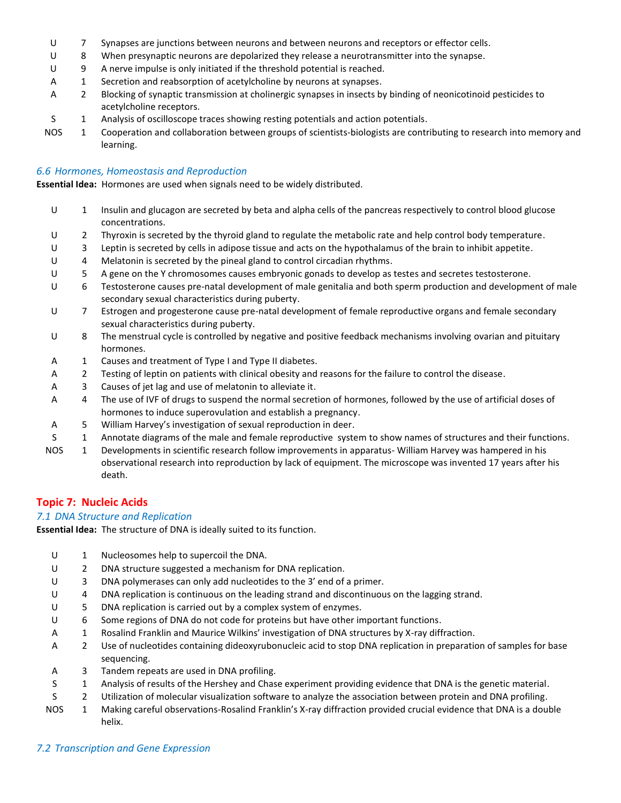- U 7 Synapses are junctions between neurons and between neurons and receptors or effector cells.
- U 8 When presynaptic neurons are depolarized they release a neurotransmitter into the synapse.
- U 9 A nerve impulse is only initiated if the threshold potential is reached.
- A 1 Secretion and reabsorption of acetylcholine by neurons at synapses.
- A 2 Blocking of synaptic transmission at cholinergic synapses in insects by binding of neonicotinoid pesticides to acetylcholine receptors.
- S 1 Analysis of oscilloscope traces showing resting potentials and action potentials.
- NOS 1 Cooperation and collaboration between groups of scientists-biologists are contributing to research into memory and learning.

#### *6.6 Hormones, Homeostasis and Reproduction*

**Essential Idea:** Hormones are used when signals need to be widely distributed.

- U 1 Insulin and glucagon are secreted by beta and alpha cells of the pancreas respectively to control blood glucose concentrations.
- U 2 Thyroxin is secreted by the thyroid gland to regulate the metabolic rate and help control body temperature.
- U 3 Leptin is secreted by cells in adipose tissue and acts on the hypothalamus of the brain to inhibit appetite.
- U 4 Melatonin is secreted by the pineal gland to control circadian rhythms.
- U 5 A gene on the Y chromosomes causes embryonic gonads to develop as testes and secretes testosterone.
- U 6 Testosterone causes pre-natal development of male genitalia and both sperm production and development of male secondary sexual characteristics during puberty.
- U 7 Estrogen and progesterone cause pre-natal development of female reproductive organs and female secondary sexual characteristics during puberty.
- U 8 The menstrual cycle is controlled by negative and positive feedback mechanisms involving ovarian and pituitary hormones.
- A 1 Causes and treatment of Type I and Type II diabetes.
- A 2 Testing of leptin on patients with clinical obesity and reasons for the failure to control the disease.
- A 3 Causes of jet lag and use of melatonin to alleviate it.
- A 4 The use of IVF of drugs to suspend the normal secretion of hormones, followed by the use of artificial doses of hormones to induce superovulation and establish a pregnancy.
- A 5 William Harvey's investigation of sexual reproduction in deer.
- S 1 Annotate diagrams of the male and female reproductive system to show names of structures and their functions.
- NOS 1 Developments in scientific research follow improvements in apparatus- William Harvey was hampered in his observational research into reproduction by lack of equipment. The microscope was invented 17 years after his death.

## **Topic 7: Nucleic Acids**

## *7.1 DNA Structure and Replication*

**Essential Idea:** The structure of DNA is ideally suited to its function.

- U 1 Nucleosomes help to supercoil the DNA.
- U 2 DNA structure suggested a mechanism for DNA replication.
- U 3 DNA polymerases can only add nucleotides to the 3' end of a primer.
- U 4 DNA replication is continuous on the leading strand and discontinuous on the lagging strand.
- U 5 DNA replication is carried out by a complex system of enzymes.
- U 6 Some regions of DNA do not code for proteins but have other important functions.
- A 1 Rosalind Franklin and Maurice Wilkins' investigation of DNA structures by X-ray diffraction.
- A 2 Use of nucleotides containing dideoxyrubonucleic acid to stop DNA replication in preparation of samples for base sequencing.
- A 3 Tandem repeats are used in DNA profiling.
- S 1 Analysis of results of the Hershey and Chase experiment providing evidence that DNA is the genetic material.
- S 2 Utilization of molecular visualization software to analyze the association between protein and DNA profiling.
- NOS 1 Making careful observations-Rosalind Franklin's X-ray diffraction provided crucial evidence that DNA is a double helix.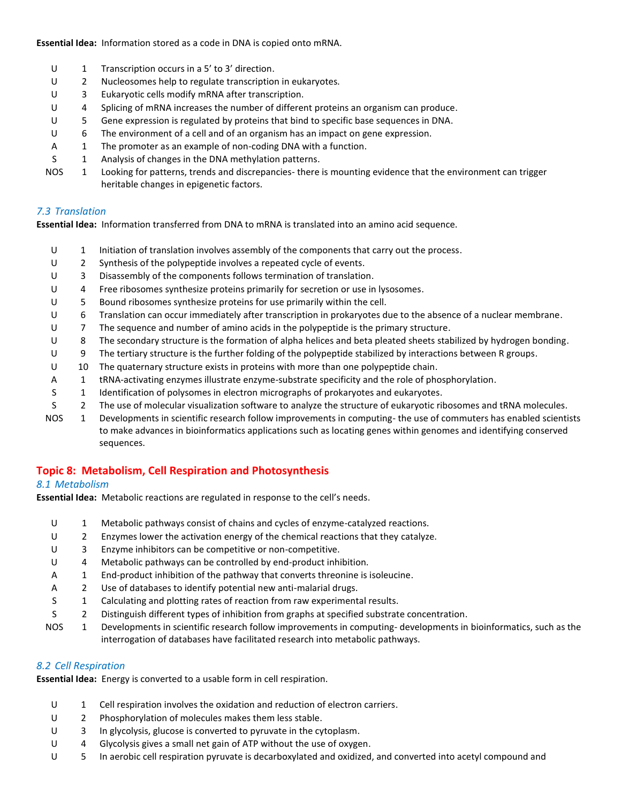**Essential Idea:** Information stored as a code in DNA is copied onto mRNA.

- U 1 Transcription occurs in a 5' to 3' direction.
- U 2 Nucleosomes help to regulate transcription in eukaryotes.
- U 3 Eukaryotic cells modify mRNA after transcription.
- U 4 Splicing of mRNA increases the number of different proteins an organism can produce.
- U 5 Gene expression is regulated by proteins that bind to specific base sequences in DNA.
- U 6 The environment of a cell and of an organism has an impact on gene expression.
- A 1 The promoter as an example of non-coding DNA with a function.
- S 1 Analysis of changes in the DNA methylation patterns.
- NOS 1 Looking for patterns, trends and discrepancies- there is mounting evidence that the environment can trigger heritable changes in epigenetic factors.

## *7.3 Translation*

**Essential Idea:** Information transferred from DNA to mRNA is translated into an amino acid sequence.

- U 1 Initiation of translation involves assembly of the components that carry out the process.
- U 2 Synthesis of the polypeptide involves a repeated cycle of events.
- U 3 Disassembly of the components follows termination of translation.
- U 4 Free ribosomes synthesize proteins primarily for secretion or use in lysosomes.
- U 5 Bound ribosomes synthesize proteins for use primarily within the cell.
- U 6 Translation can occur immediately after transcription in prokaryotes due to the absence of a nuclear membrane.
- U 7 The sequence and number of amino acids in the polypeptide is the primary structure.
- U 8 The secondary structure is the formation of alpha helices and beta pleated sheets stabilized by hydrogen bonding.
- U 9 The tertiary structure is the further folding of the polypeptide stabilized by interactions between R groups.
- U 10 The quaternary structure exists in proteins with more than one polypeptide chain.
- A 1 tRNA-activating enzymes illustrate enzyme-substrate specificity and the role of phosphorylation.
- S 1 Identification of polysomes in electron micrographs of prokaryotes and eukaryotes.
- S 2 The use of molecular visualization software to analyze the structure of eukaryotic ribosomes and tRNA molecules.
- NOS 1 Developments in scientific research follow improvements in computing- the use of commuters has enabled scientists to make advances in bioinformatics applications such as locating genes within genomes and identifying conserved sequences.

# **Topic 8: Metabolism, Cell Respiration and Photosynthesis**

## *8.1 Metabolism*

**Essential Idea:** Metabolic reactions are regulated in response to the cell's needs.

- U 1 Metabolic pathways consist of chains and cycles of enzyme-catalyzed reactions.
- U 2 Enzymes lower the activation energy of the chemical reactions that they catalyze.
- U 3 Enzyme inhibitors can be competitive or non-competitive.
- U 4 Metabolic pathways can be controlled by end-product inhibition.
- A 1 End-product inhibition of the pathway that converts threonine is isoleucine.
- A 2 Use of databases to identify potential new anti-malarial drugs.
- S 1 Calculating and plotting rates of reaction from raw experimental results.
- S 2 Distinguish different types of inhibition from graphs at specified substrate concentration.
- NOS 1 Developments in scientific research follow improvements in computing- developments in bioinformatics, such as the interrogation of databases have facilitated research into metabolic pathways.

## *8.2 Cell Respiration*

**Essential Idea:** Energy is converted to a usable form in cell respiration.

- U 1 Cell respiration involves the oxidation and reduction of electron carriers.
- U 2 Phosphorylation of molecules makes them less stable.
- U 3 In glycolysis, glucose is converted to pyruvate in the cytoplasm.
- U 4 Glycolysis gives a small net gain of ATP without the use of oxygen.
- U 5 In aerobic cell respiration pyruvate is decarboxylated and oxidized, and converted into acetyl compound and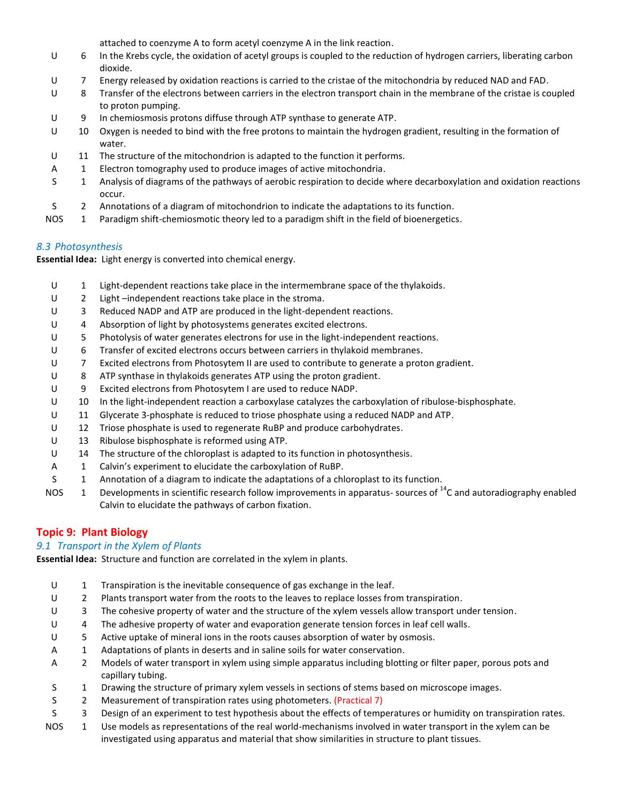attached to coenzyme A to form acetyl coenzyme A in the link reaction.

- U 6 In the Krebs cycle, the oxidation of acetyl groups is coupled to the reduction of hydrogen carriers, liberating carbon dioxide.
- U 7 Energy released by oxidation reactions is carried to the cristae of the mitochondria by reduced NAD and FAD.
- U 8 Transfer of the electrons between carriers in the electron transport chain in the membrane of the cristae is coupled to proton pumping.
- U 9 In chemiosmosis protons diffuse through ATP synthase to generate ATP.
- U 10 Oxygen is needed to bind with the free protons to maintain the hydrogen gradient, resulting in the formation of water.
- U 11 The structure of the mitochondrion is adapted to the function it performs.
- A 1 Electron tomography used to produce images of active mitochondria.
- S 1 Analysis of diagrams of the pathways of aerobic respiration to decide where decarboxylation and oxidation reactions occur.
- S 2 Annotations of a diagram of mitochondrion to indicate the adaptations to its function.
- NOS 1 Paradigm shift-chemiosmotic theory led to a paradigm shift in the field of bioenergetics.

## *8.3 Photosynthesis*

**Essential Idea:** Light energy is converted into chemical energy.

- U 1 Light-dependent reactions take place in the intermembrane space of the thylakoids.
- U 2 Light –independent reactions take place in the stroma.
- U 3 Reduced NADP and ATP are produced in the light-dependent reactions.
- U 4 Absorption of light by photosystems generates excited electrons.
- U 5 Photolysis of water generates electrons for use in the light-independent reactions.
- U 6 Transfer of excited electrons occurs between carriers in thylakoid membranes.
- U 7 Excited electrons from Photosytem II are used to contribute to generate a proton gradient.
- U 8 ATP synthase in thylakoids generates ATP using the proton gradient.
- U 9 Excited electrons from Photosytem I are used to reduce NADP.
- U 10 In the light-independent reaction a carboxylase catalyzes the carboxylation of ribulose-bisphosphate.
- U 11 Glycerate 3-phosphate is reduced to triose phosphate using a reduced NADP and ATP.
- U 12 Triose phosphate is used to regenerate RuBP and produce carbohydrates.
- U 13 Ribulose bisphosphate is reformed using ATP.
- U 14 The structure of the chloroplast is adapted to its function in photosynthesis.
- A 1 Calvin's experiment to elucidate the carboxylation of RuBP.
- S 1 Annotation of a diagram to indicate the adaptations of a chloroplast to its function.
- NOS 1 Developments in scientific research follow improvements in apparatus- sources of  $^{14}$ C and autoradiography enabled Calvin to elucidate the pathways of carbon fixation.

# **Topic 9: Plant Biology**

## *9.1 Transport in the Xylem of Plants*

**Essential Idea:** Structure and function are correlated in the xylem in plants.

- U 1 Transpiration is the inevitable consequence of gas exchange in the leaf.
- U 2 Plants transport water from the roots to the leaves to replace losses from transpiration.
- U 3 The cohesive property of water and the structure of the xylem vessels allow transport under tension.
- U 4 The adhesive property of water and evaporation generate tension forces in leaf cell walls.
- U 5 Active uptake of mineral ions in the roots causes absorption of water by osmosis.
- A 1 Adaptations of plants in deserts and in saline soils for water conservation.
- A 2 Models of water transport in xylem using simple apparatus including blotting or filter paper, porous pots and capillary tubing.
- S 1 Drawing the structure of primary xylem vessels in sections of stems based on microscope images.
- S 2 Measurement of transpiration rates using photometers. (Practical 7)
- S 3 Design of an experiment to test hypothesis about the effects of temperatures or humidity on transpiration rates.
- NOS 1 Use models as representations of the real world-mechanisms involved in water transport in the xylem can be investigated using apparatus and material that show similarities in structure to plant tissues.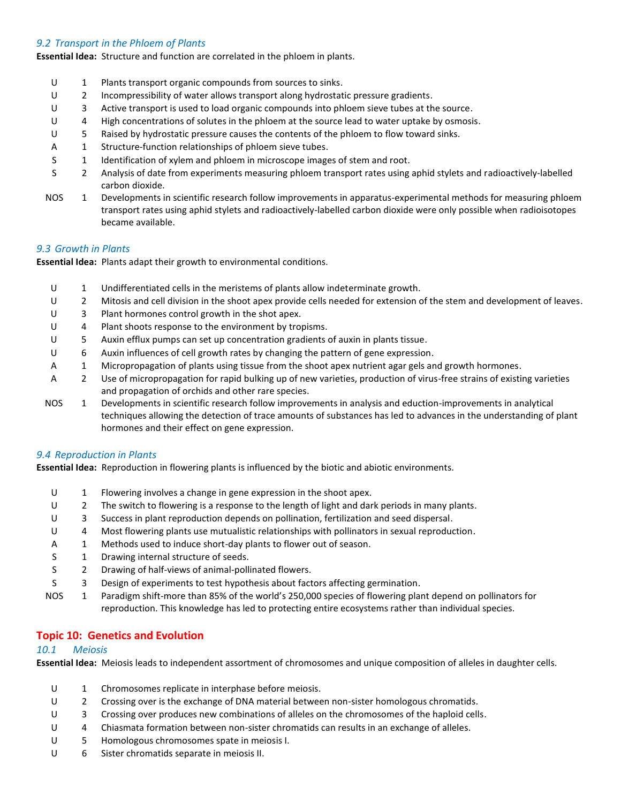## *9.2 Transport in the Phloem of Plants*

**Essential Idea:** Structure and function are correlated in the phloem in plants.

- U 1 Plants transport organic compounds from sources to sinks.
- U 2 Incompressibility of water allows transport along hydrostatic pressure gradients.
- U 3 Active transport is used to load organic compounds into phloem sieve tubes at the source.
- U 4 High concentrations of solutes in the phloem at the source lead to water uptake by osmosis.
- U 5 Raised by hydrostatic pressure causes the contents of the phloem to flow toward sinks.
- A 1 Structure-function relationships of phloem sieve tubes.
- S 1 Identification of xylem and phloem in microscope images of stem and root.
- S 2 Analysis of date from experiments measuring phloem transport rates using aphid stylets and radioactively-labelled carbon dioxide.
- NOS 1 Developments in scientific research follow improvements in apparatus-experimental methods for measuring phloem transport rates using aphid stylets and radioactively-labelled carbon dioxide were only possible when radioisotopes became available.

#### *9.3 Growth in Plants*

**Essential Idea:** Plants adapt their growth to environmental conditions.

- U 1 Undifferentiated cells in the meristems of plants allow indeterminate growth.
- U 2 Mitosis and cell division in the shoot apex provide cells needed for extension of the stem and development of leaves.
- U 3 Plant hormones control growth in the shot apex.
- U 4 Plant shoots response to the environment by tropisms.
- U 5 Auxin efflux pumps can set up concentration gradients of auxin in plants tissue.
- U 6 Auxin influences of cell growth rates by changing the pattern of gene expression.
- A 1 Micropropagation of plants using tissue from the shoot apex nutrient agar gels and growth hormones.
- A 2 Use of micropropagation for rapid bulking up of new varieties, production of virus-free strains of existing varieties and propagation of orchids and other rare species.
- NOS 1 Developments in scientific research follow improvements in analysis and eduction-improvements in analytical techniques allowing the detection of trace amounts of substances has led to advances in the understanding of plant hormones and their effect on gene expression.

## *9.4 Reproduction in Plants*

**Essential Idea:** Reproduction in flowering plants is influenced by the biotic and abiotic environments.

- U 1 Flowering involves a change in gene expression in the shoot apex.
- U 2 The switch to flowering is a response to the length of light and dark periods in many plants.
- U 3 Success in plant reproduction depends on pollination, fertilization and seed dispersal.
- U 4 Most flowering plants use mutualistic relationships with pollinators in sexual reproduction.
- A 1 Methods used to induce short-day plants to flower out of season.
- S 1 Drawing internal structure of seeds.
- S 2 Drawing of half-views of animal-pollinated flowers.
- S 3 Design of experiments to test hypothesis about factors affecting germination.
- NOS 1 Paradigm shift-more than 85% of the world's 250,000 species of flowering plant depend on pollinators for reproduction. This knowledge has led to protecting entire ecosystems rather than individual species.

## **Topic 10: Genetics and Evolution**

#### *10.1 Meiosis*

**Essential Idea:** Meiosis leads to independent assortment of chromosomes and unique composition of alleles in daughter cells.

- U 1 Chromosomes replicate in interphase before meiosis.
- U 2 Crossing over is the exchange of DNA material between non-sister homologous chromatids.
- U 3 Crossing over produces new combinations of alleles on the chromosomes of the haploid cells.
- U 4 Chiasmata formation between non-sister chromatids can results in an exchange of alleles.
- U 5 Homologous chromosomes spate in meiosis I.
- U 6 Sister chromatids separate in meiosis II.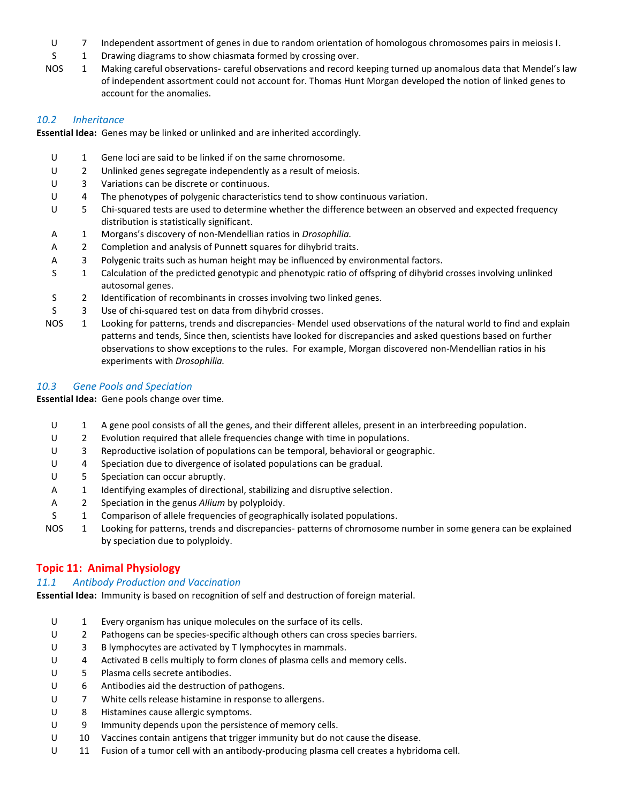- U 7 Independent assortment of genes in due to random orientation of homologous chromosomes pairs in meiosis I.
- S 1 Drawing diagrams to show chiasmata formed by crossing over.
- NOS 1 Making careful observations- careful observations and record keeping turned up anomalous data that Mendel's law of independent assortment could not account for. Thomas Hunt Morgan developed the notion of linked genes to account for the anomalies.

## *10.2 Inheritance*

**Essential Idea:** Genes may be linked or unlinked and are inherited accordingly.

- U 1 Gene loci are said to be linked if on the same chromosome.
- U 2 Unlinked genes segregate independently as a result of meiosis.
- U 3 Variations can be discrete or continuous.
- U 4 The phenotypes of polygenic characteristics tend to show continuous variation.
- U 5 Chi-squared tests are used to determine whether the difference between an observed and expected frequency distribution is statistically significant.
- A 1 Morgans's discovery of non-Mendellian ratios in *Drosophilia.*
- A 2 Completion and analysis of Punnett squares for dihybrid traits.
- A 3 Polygenic traits such as human height may be influenced by environmental factors.
- S 1 Calculation of the predicted genotypic and phenotypic ratio of offspring of dihybrid crosses involving unlinked autosomal genes.
- S 2 Identification of recombinants in crosses involving two linked genes.
- S 3 Use of chi-squared test on data from dihybrid crosses.
- NOS 1 Looking for patterns, trends and discrepancies- Mendel used observations of the natural world to find and explain patterns and tends, Since then, scientists have looked for discrepancies and asked questions based on further observations to show exceptions to the rules. For example, Morgan discovered non-Mendellian ratios in his experiments with *Drosophilia.*

## *10.3 Gene Pools and Speciation*

**Essential Idea:** Gene pools change over time.

- U 1 A gene pool consists of all the genes, and their different alleles, present in an interbreeding population.
- U 2 Evolution required that allele frequencies change with time in populations.
- U 3 Reproductive isolation of populations can be temporal, behavioral or geographic.
- U 4 Speciation due to divergence of isolated populations can be gradual.
- U 5 Speciation can occur abruptly.
- A 1 Identifying examples of directional, stabilizing and disruptive selection.
- A 2 Speciation in the genus *Allium* by polyploidy.
- S 1 Comparison of allele frequencies of geographically isolated populations.
- NOS 1 Looking for patterns, trends and discrepancies- patterns of chromosome number in some genera can be explained by speciation due to polyploidy.

# **Topic 11: Animal Physiology**

# *11.1 Antibody Production and Vaccination*

**Essential Idea:** Immunity is based on recognition of self and destruction of foreign material.

- U 1 Every organism has unique molecules on the surface of its cells.
- U 2 Pathogens can be species-specific although others can cross species barriers.
- U 3 B lymphocytes are activated by T lymphocytes in mammals.
- U 4 Activated B cells multiply to form clones of plasma cells and memory cells.
- U 5 Plasma cells secrete antibodies.
- U 6 Antibodies aid the destruction of pathogens.
- U 7 White cells release histamine in response to allergens.
- U 8 Histamines cause allergic symptoms.
- U 9 Immunity depends upon the persistence of memory cells.
- U 10 Vaccines contain antigens that trigger immunity but do not cause the disease.
- U 11 Fusion of a tumor cell with an antibody-producing plasma cell creates a hybridoma cell.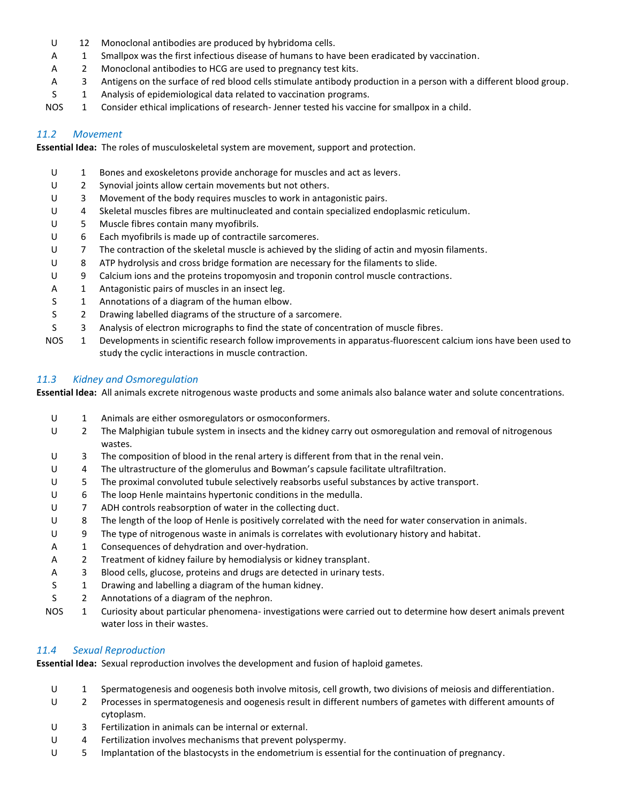- U 12 Monoclonal antibodies are produced by hybridoma cells.
- A 1 Smallpox was the first infectious disease of humans to have been eradicated by vaccination.
- A 2 Monoclonal antibodies to HCG are used to pregnancy test kits.
- A 3 Antigens on the surface of red blood cells stimulate antibody production in a person with a different blood group.
- S 1 Analysis of epidemiological data related to vaccination programs.
- NOS 1 Consider ethical implications of research- Jenner tested his vaccine for smallpox in a child.

#### *11.2 Movement*

**Essential Idea:** The roles of musculoskeletal system are movement, support and protection.

- U 1 Bones and exoskeletons provide anchorage for muscles and act as levers.
- U 2 Synovial joints allow certain movements but not others.
- U 3 Movement of the body requires muscles to work in antagonistic pairs.
- U 4 Skeletal muscles fibres are multinucleated and contain specialized endoplasmic reticulum.
- U 5 Muscle fibres contain many myofibrils.
- U 6 Each myofibrils is made up of contractile sarcomeres.
- U 7 The contraction of the skeletal muscle is achieved by the sliding of actin and myosin filaments.
- U 8 ATP hydrolysis and cross bridge formation are necessary for the filaments to slide.
- U 9 Calcium ions and the proteins tropomyosin and troponin control muscle contractions.
- A 1 Antagonistic pairs of muscles in an insect leg.
- S 1 Annotations of a diagram of the human elbow.
- S 2 Drawing labelled diagrams of the structure of a sarcomere.
- S 3 Analysis of electron micrographs to find the state of concentration of muscle fibres.
- NOS 1 Developments in scientific research follow improvements in apparatus-fluorescent calcium ions have been used to study the cyclic interactions in muscle contraction.

## *11.3 Kidney and Osmoregulation*

**Essential Idea:** All animals excrete nitrogenous waste products and some animals also balance water and solute concentrations.

U 1 Animals are either osmoregulators or osmoconformers. U 2 The Malphigian tubule system in insects and the kidney carry out osmoregulation and removal of nitrogenous wastes. U 3 The composition of blood in the renal artery is different from that in the renal vein. U 4 The ultrastructure of the glomerulus and Bowman's capsule facilitate ultrafiltration. U 5 The proximal convoluted tubule selectively reabsorbs useful substances by active transport. U 6 The loop Henle maintains hypertonic conditions in the medulla. U 7 ADH controls reabsorption of water in the collecting duct. U 8 The length of the loop of Henle is positively correlated with the need for water conservation in animals. U 9 The type of nitrogenous waste in animals is correlates with evolutionary history and habitat. A 1 Consequences of dehydration and over-hydration. A 2 Treatment of kidney failure by hemodialysis or kidney transplant. A 3 Blood cells, glucose, proteins and drugs are detected in urinary tests. S 1 Drawing and labelling a diagram of the human kidney. S 2 Annotations of a diagram of the nephron. NOS 1 Curiosity about particular phenomena- investigations were carried out to determine how desert animals prevent water loss in their wastes.

## *11.4 Sexual Reproduction*

**Essential Idea:** Sexual reproduction involves the development and fusion of haploid gametes.

- U 1 Spermatogenesis and oogenesis both involve mitosis, cell growth, two divisions of meiosis and differentiation.
- U 2 Processes in spermatogenesis and oogenesis result in different numbers of gametes with different amounts of cytoplasm.
- U 3 Fertilization in animals can be internal or external.
- U 4 Fertilization involves mechanisms that prevent polyspermy.
- U 5 Implantation of the blastocysts in the endometrium is essential for the continuation of pregnancy.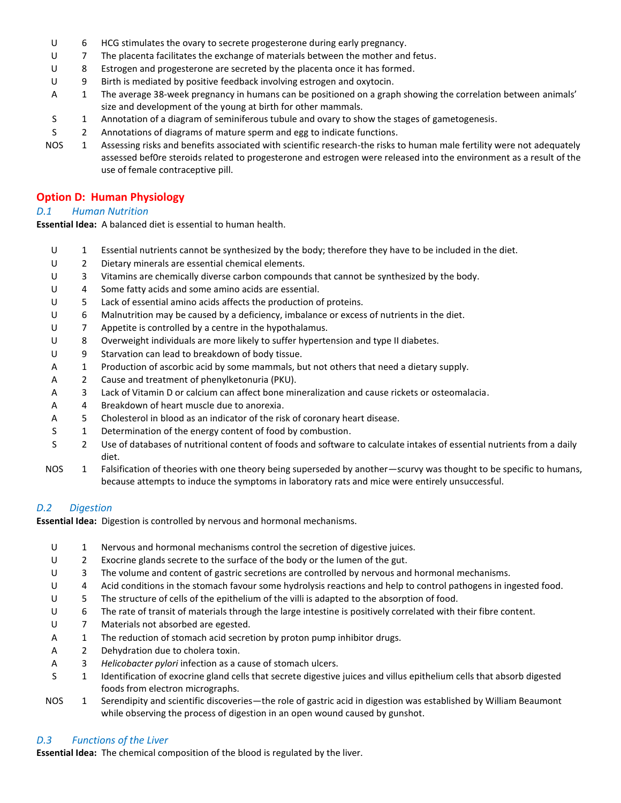- U 6 HCG stimulates the ovary to secrete progesterone during early pregnancy.
- U 7 The placenta facilitates the exchange of materials between the mother and fetus.
- U 8 Estrogen and progesterone are secreted by the placenta once it has formed.
- U 9 Birth is mediated by positive feedback involving estrogen and oxytocin.
- A 1 The average 38-week pregnancy in humans can be positioned on a graph showing the correlation between animals' size and development of the young at birth for other mammals.
- S 1 Annotation of a diagram of seminiferous tubule and ovary to show the stages of gametogenesis.
- S 2 Annotations of diagrams of mature sperm and egg to indicate functions.
- NOS 1 Assessing risks and benefits associated with scientific research-the risks to human male fertility were not adequately assessed bef0re steroids related to progesterone and estrogen were released into the environment as a result of the use of female contraceptive pill.

## **Option D: Human Physiology**

#### *D.1 Human Nutrition*

**Essential Idea:** A balanced diet is essential to human health.

- U 1 Essential nutrients cannot be synthesized by the body; therefore they have to be included in the diet.
- U 2 Dietary minerals are essential chemical elements.
- U 3 Vitamins are chemically diverse carbon compounds that cannot be synthesized by the body.
- U 4 Some fatty acids and some amino acids are essential.
- U 5 Lack of essential amino acids affects the production of proteins.
- U 6 Malnutrition may be caused by a deficiency, imbalance or excess of nutrients in the diet.
- U 7 Appetite is controlled by a centre in the hypothalamus.
- U 8 Overweight individuals are more likely to suffer hypertension and type II diabetes.
- U 9 Starvation can lead to breakdown of body tissue.
- A 1 Production of ascorbic acid by some mammals, but not others that need a dietary supply.
- A 2 Cause and treatment of phenylketonuria (PKU).
- A 3 Lack of Vitamin D or calcium can affect bone mineralization and cause rickets or osteomalacia.
- A 4 Breakdown of heart muscle due to anorexia.
- A 5 Cholesterol in blood as an indicator of the risk of coronary heart disease.
- S 1 Determination of the energy content of food by combustion.
- S 2 Use of databases of nutritional content of foods and software to calculate intakes of essential nutrients from a daily diet.
- NOS 1 Falsification of theories with one theory being superseded by another—scurvy was thought to be specific to humans, because attempts to induce the symptoms in laboratory rats and mice were entirely unsuccessful.

## *D.2 Digestion*

**Essential Idea:** Digestion is controlled by nervous and hormonal mechanisms.

- U 1 Nervous and hormonal mechanisms control the secretion of digestive juices.
- U 2 Exocrine glands secrete to the surface of the body or the lumen of the gut.
- U 3 The volume and content of gastric secretions are controlled by nervous and hormonal mechanisms.
- U 4 Acid conditions in the stomach favour some hydrolysis reactions and help to control pathogens in ingested food.
- U 5 The structure of cells of the epithelium of the villi is adapted to the absorption of food.
- U 6 The rate of transit of materials through the large intestine is positively correlated with their fibre content.
- U 7 Materials not absorbed are egested.
- A 1 The reduction of stomach acid secretion by proton pump inhibitor drugs.
- A 2 Dehydration due to cholera toxin.
- A 3 *Helicobacter pylori* infection as a cause of stomach ulcers.
- S 1 Identification of exocrine gland cells that secrete digestive juices and villus epithelium cells that absorb digested foods from electron micrographs.
- NOS 1 Serendipity and scientific discoveries—the role of gastric acid in digestion was established by William Beaumont while observing the process of digestion in an open wound caused by gunshot.

## *D.3 Functions of the Liver*

**Essential Idea:** The chemical composition of the blood is regulated by the liver.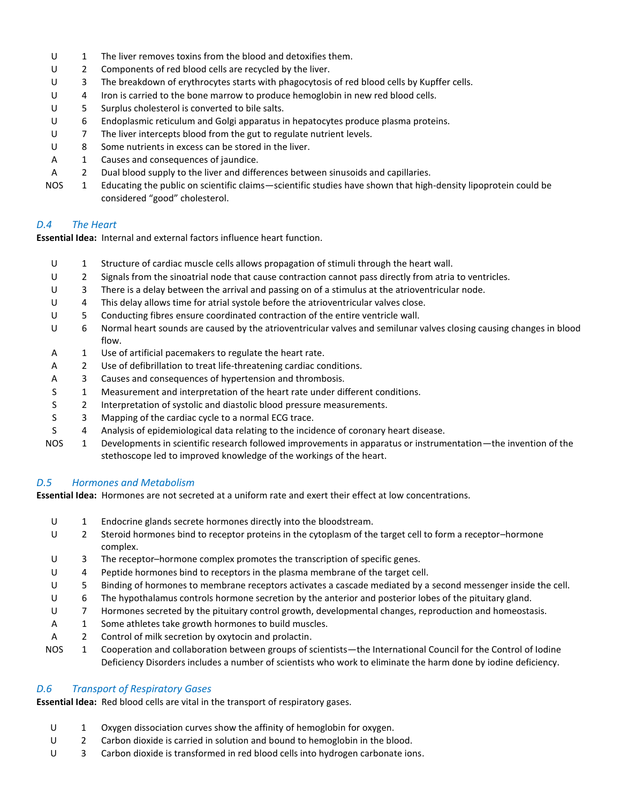- U 1 The liver removes toxins from the blood and detoxifies them.
- U 2 Components of red blood cells are recycled by the liver.
- U 3 The breakdown of erythrocytes starts with phagocytosis of red blood cells by Kupffer cells.
- U 4 Iron is carried to the bone marrow to produce hemoglobin in new red blood cells.
- U 5 Surplus cholesterol is converted to bile salts.
- U 6 Endoplasmic reticulum and Golgi apparatus in hepatocytes produce plasma proteins.
- U 7 The liver intercepts blood from the gut to regulate nutrient levels.
- U 8 Some nutrients in excess can be stored in the liver.
- A 1 Causes and consequences of jaundice.
- A 2 Dual blood supply to the liver and differences between sinusoids and capillaries.
- NOS 1 Educating the public on scientific claims—scientific studies have shown that high-density lipoprotein could be considered "good" cholesterol.

#### *D.4 The Heart*

**Essential Idea:** Internal and external factors influence heart function.

- U 1 Structure of cardiac muscle cells allows propagation of stimuli through the heart wall.
- U 2 Signals from the sinoatrial node that cause contraction cannot pass directly from atria to ventricles.
- U 3 There is a delay between the arrival and passing on of a stimulus at the atrioventricular node.
- U 4 This delay allows time for atrial systole before the atrioventricular valves close.
- U 5 Conducting fibres ensure coordinated contraction of the entire ventricle wall.
- U 6 Normal heart sounds are caused by the atrioventricular valves and semilunar valves closing causing changes in blood flow.
- A 1 Use of artificial pacemakers to regulate the heart rate.
- A 2 Use of defibrillation to treat life-threatening cardiac conditions.
- A 3 Causes and consequences of hypertension and thrombosis.
- S 1 Measurement and interpretation of the heart rate under different conditions.
- S 2 Interpretation of systolic and diastolic blood pressure measurements.
- S 3 Mapping of the cardiac cycle to a normal ECG trace.
- S 4 Analysis of epidemiological data relating to the incidence of coronary heart disease.
- NOS 1 Developments in scientific research followed improvements in apparatus or instrumentation—the invention of the stethoscope led to improved knowledge of the workings of the heart.

## *D.5 Hormones and Metabolism*

**Essential Idea:** Hormones are not secreted at a uniform rate and exert their effect at low concentrations.

- U 1 Endocrine glands secrete hormones directly into the bloodstream.
- U 2 Steroid hormones bind to receptor proteins in the cytoplasm of the target cell to form a receptor–hormone complex.
- U 3 The receptor–hormone complex promotes the transcription of specific genes.
- U 4 Peptide hormones bind to receptors in the plasma membrane of the target cell.
- U 5 Binding of hormones to membrane receptors activates a cascade mediated by a second messenger inside the cell.
- U 6 The hypothalamus controls hormone secretion by the anterior and posterior lobes of the pituitary gland.
- U 7 Hormones secreted by the pituitary control growth, developmental changes, reproduction and homeostasis.
- A 1 Some athletes take growth hormones to build muscles.
- A 2 Control of milk secretion by oxytocin and prolactin.
- NOS 1 Cooperation and collaboration between groups of scientists—the International Council for the Control of Iodine Deficiency Disorders includes a number of scientists who work to eliminate the harm done by iodine deficiency.

## *D.6 Transport of Respiratory Gases*

**Essential Idea:** Red blood cells are vital in the transport of respiratory gases.

- U 1 Oxygen dissociation curves show the affinity of hemoglobin for oxygen.
- U 2 Carbon dioxide is carried in solution and bound to hemoglobin in the blood.
- U 3 Carbon dioxide is transformed in red blood cells into hydrogen carbonate ions.